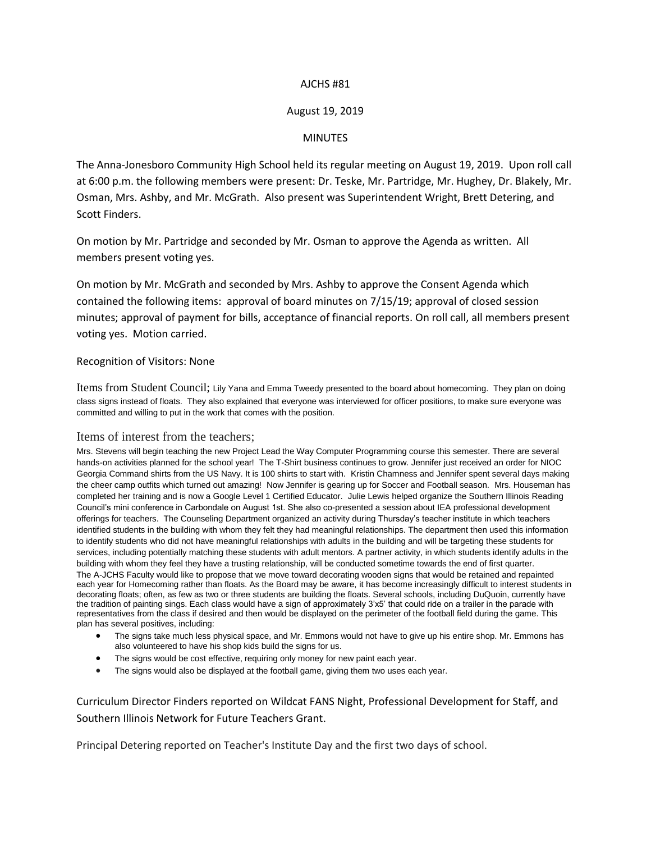## AJCHS #81

# August 19, 2019

## **MINUTES**

The Anna-Jonesboro Community High School held its regular meeting on August 19, 2019. Upon roll call at 6:00 p.m. the following members were present: Dr. Teske, Mr. Partridge, Mr. Hughey, Dr. Blakely, Mr. Osman, Mrs. Ashby, and Mr. McGrath. Also present was Superintendent Wright, Brett Detering, and Scott Finders.

On motion by Mr. Partridge and seconded by Mr. Osman to approve the Agenda as written. All members present voting yes.

On motion by Mr. McGrath and seconded by Mrs. Ashby to approve the Consent Agenda which contained the following items: approval of board minutes on 7/15/19; approval of closed session minutes; approval of payment for bills, acceptance of financial reports. On roll call, all members present voting yes. Motion carried.

### Recognition of Visitors: None

Items from Student Council; Lily Yana and Emma Tweedy presented to the board about homecoming. They plan on doing class signs instead of floats. They also explained that everyone was interviewed for officer positions, to make sure everyone was committed and willing to put in the work that comes with the position.

### Items of interest from the teachers;

Mrs. Stevens will begin teaching the new Project Lead the Way Computer Programming course this semester. There are several hands-on activities planned for the school year! The T-Shirt business continues to grow. Jennifer just received an order for NIOC Georgia Command shirts from the US Navy. It is 100 shirts to start with. Kristin Chamness and Jennifer spent several days making the cheer camp outfits which turned out amazing! Now Jennifer is gearing up for Soccer and Football season. Mrs. Houseman has completed her training and is now a Google Level 1 Certified Educator. Julie Lewis helped organize the Southern Illinois Reading Council's mini conference in Carbondale on August 1st. She also co-presented a session about IEA professional development offerings for teachers. The Counseling Department organized an activity during Thursday's teacher institute in which teachers identified students in the building with whom they felt they had meaningful relationships. The department then used this information to identify students who did not have meaningful relationships with adults in the building and will be targeting these students for services, including potentially matching these students with adult mentors. A partner activity, in which students identify adults in the building with whom they feel they have a trusting relationship, will be conducted sometime towards the end of first quarter. The A-JCHS Faculty would like to propose that we move toward decorating wooden signs that would be retained and repainted each year for Homecoming rather than floats. As the Board may be aware, it has become increasingly difficult to interest students in decorating floats; often, as few as two or three students are building the floats. Several schools, including DuQuoin, currently have the tradition of painting sings. Each class would have a sign of approximately 3'x5' that could ride on a trailer in the parade with representatives from the class if desired and then would be displayed on the perimeter of the football field during the game. This plan has several positives, including:

- The signs take much less physical space, and Mr. Emmons would not have to give up his entire shop. Mr. Emmons has also volunteered to have his shop kids build the signs for us.
- The signs would be cost effective, requiring only money for new paint each year.
- The signs would also be displayed at the football game, giving them two uses each year.

Curriculum Director Finders reported on Wildcat FANS Night, Professional Development for Staff, and Southern Illinois Network for Future Teachers Grant.

Principal Detering reported on Teacher's Institute Day and the first two days of school.